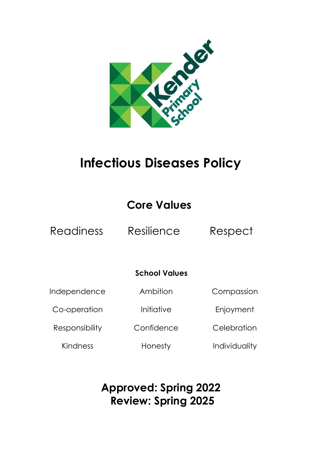

# **Infectious Diseases Policy**

## **Core Values**

Readiness Resilience Respect

### **School Values**

Independence

Co-operation

Responsibility

Kindness

Initiative

Confidence

Ambition

Compassion

Enjoyment

**Celebration** 

Honesty

Individuality

## **Approved: Spring 2022 Review: Spring 2025**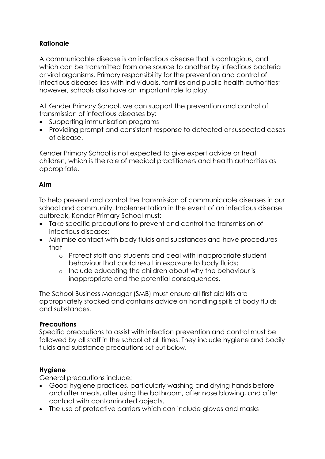#### **Rationale**

A communicable disease is an infectious disease that is contagious, and which can be transmitted from one source to another by infectious bacteria or viral organisms. Primary responsibility for the prevention and control of infectious diseases lies with individuals, families and public health authorities; however, schools also have an important role to play.

At Kender Primary School, we can support the prevention and control of transmission of infectious diseases by:

- Supporting immunisation programs
- Providing prompt and consistent response to detected or suspected cases of disease.

Kender Primary School is not expected to give expert advice or treat children, which is the role of medical practitioners and health authorities as appropriate.

#### **Aim**

To help prevent and control the transmission of communicable diseases in our school and community. Implementation in the event of an infectious disease outbreak, Kender Primary School must:

- Take specific precautions to prevent and control the transmission of infectious diseases;
- Minimise contact with body fluids and substances and have procedures that
	- o Protect staff and students and deal with inappropriate student behaviour that could result in exposure to body fluids;
	- o Include educating the children about why the behaviour is inappropriate and the potential consequences.

The School Business Manager (SMB) must ensure all first aid kits are appropriately stocked and contains advice on handling spills of body fluids and substances.

#### **Precautions**

Specific precautions to assist with infection prevention and control must be followed by all staff in the school at all times. They include hygiene and bodily fluids and substance precautions set out below.

#### **Hygiene**

General precautions include:

- Good hygiene practices, particularly washing and drying hands before and after meals, after using the bathroom, after nose blowing, and after contact with contaminated objects.
- The use of protective barriers which can include gloves and masks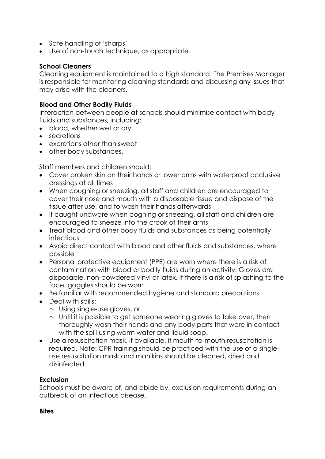- Safe handling of 'sharps'
- Use of non-touch technique, as appropriate.

#### **School Cleaners**

Cleaning equipment is maintained to a high standard. The Premises Manager is responsible for monitoring cleaning standards and discussing any issues that may arise with the cleaners.

#### **Blood and Other Bodily Fluids**

Interaction between people at schools should minimise contact with body fluids and substances, including:

- blood, whether wet or dry
- secretions
- excretions other than sweat
- other body substances.

Staff members and children should:

- Cover broken skin on their hands or lower arms with waterproof occlusive dressings at all times
- When coughing or sneezing, all staff and children are encouraged to cover their nose and mouth with a disposable tissue and dispose of the tissue after use, and to wash their hands afterwards
- If caught unaware when coghing or sneezing, all staff and children are encouraged to sneeze into the crook of their arms
- Treat blood and other body fluids and substances as being potentially infectious
- Avoid direct contact with blood and other fluids and substances, where possible
- Personal protective equipment (PPE) are worn where there is a risk of contamination with blood or bodily fluids during an activity. Gloves are disposable, non-powdered vinyl or latex. If there is a risk of splashing to the face, goggles should be worn
- Be familiar with recommended hygiene and standard precautions
- Deal with spills:
	- o Using single-use gloves, or
	- o Until it is possible to get someone wearing gloves to take over, then thoroughly wash their hands and any body parts that were in contact with the spill using warm water and liquid soap.
- Use a resuscitation mask, if available, if mouth-to-mouth resuscitation is required. Note: CPR training should be practiced with the use of a singleuse resuscitation mask and manikins should be cleaned, dried and disinfected.

#### **Exclusion**

Schools must be aware of, and abide by, exclusion requirements during an outbreak of an infectious disease.

#### **Bites**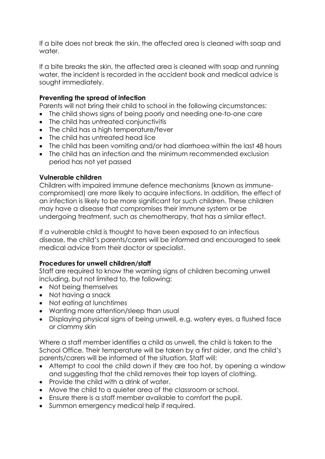If a bite does not break the skin, the affected area is cleaned with soap and water.

If a bite breaks the skin, the affected area is cleaned with soap and running water, the incident is recorded in the accident book and medical advice is sought immediately.

#### **Preventing the spread of infection**

Parents will not bring their child to school in the following circumstances:

- The child shows signs of being poorly and needing one-to-one care
- The child has untreated conjunctivitis
- The child has a high temperature/fever
- The child has untreated head lice
- The child has been vomiting and/or had diarrhoea within the last 48 hours
- The child has an infection and the [minimum recommended exclusion](file:///C:/Users/Clare%20Firmin/Downloads/infection-disease-policy.docx%23_Infection_Absence_Periods)  [period](file:///C:/Users/Clare%20Firmin/Downloads/infection-disease-policy.docx%23_Infection_Absence_Periods) has not yet passed

#### **Vulnerable children**

Children with impaired immune defence mechanisms (known as immunecompromised) are more likely to acquire infections. In addition, the effect of an infection is likely to be more significant for such children. These children may have a disease that compromises their immune system or be undergoing treatment, such as chemotherapy, that has a similar effect.

If a vulnerable child is thought to have been exposed to an infectious disease, the child's parents/carers will be informed and encouraged to seek medical advice from their doctor or specialist.

#### **Procedures for unwell children/staff**

Staff are required to know the warning signs of children becoming unwell including, but not limited to, the following:

- Not being themselves
- Not having a snack
- Not eating at lunchtimes
- Wanting more attention/sleep than usual
- Displaying physical signs of being unwell, e.g. watery eyes, a flushed face or clammy skin

Where a staff member identifies a child as unwell, the child is taken to the School Office. Their temperature will be taken by a first aider, and the child's parents/carers will be informed of the situation. Staff will:

- Attempt to cool the child down if they are too hot, by opening a window and suggesting that the child removes their top layers of clothing.
- Provide the child with a drink of water.
- Move the child to a quieter area of the classroom or school.
- Ensure there is a staff member available to comfort the pupil.
- Summon emergency medical help if required.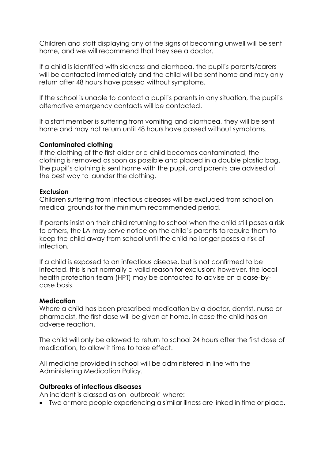Children and staff displaying any of the signs of becoming unwell will be sent home, and we will recommend that they see a doctor.

If a child is identified with sickness and diarrhoea, the pupil's parents/carers will be contacted immediately and the child will be sent home and may only return after 48 hours have passed without symptoms.

If the school is unable to contact a pupil's parents in any situation, the pupil's alternative emergency contacts will be contacted.

If a staff member is suffering from vomiting and diarrhoea, they will be sent home and may not return until 48 hours have passed without symptoms.

#### **Contaminated clothing**

If the clothing of the first-aider or a child becomes contaminated, the clothing is removed as soon as possible and placed in a double plastic bag. The pupil's clothing is sent home with the pupil, and parents are advised of the best way to launder the clothing.

#### **Exclusion**

Children suffering from infectious diseases will be excluded from school on medical grounds for the minimum recommended period.

If parents insist on their child returning to school when the child still poses a risk to others, the LA may serve notice on the child's parents to require them to keep the child away from school until the child no longer poses a risk of infection.

If a child is exposed to an infectious disease, but is not confirmed to be infected, this is not normally a valid reason for exclusion; however, the local health protection team (HPT) may be contacted to advise on a case-bycase basis.

#### **Medication**

Where a child has been prescribed medication by a doctor, dentist, nurse or pharmacist, the first dose will be given at home, in case the child has an adverse reaction.

The child will only be allowed to return to school 24 hours after the first dose of medication, to allow it time to take effect.

All medicine provided in school will be administered in line with the Administering Medication Policy.

#### **Outbreaks of infectious diseases**

An incident is classed as on 'outbreak' where:

• Two or more people experiencing a similar illness are linked in time or place.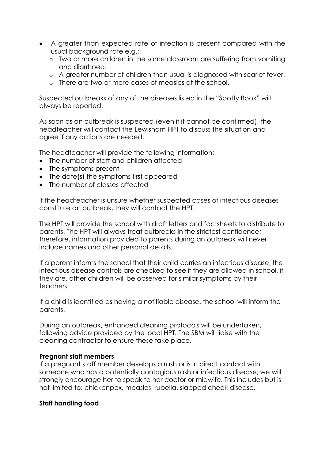- A greater than expected rate of infection is present compared with the usual background rate e.g.:
	- o Two or more children in the same classroom are suffering from vomiting and diarrhoea.
	- o A greater number of children than usual is diagnosed with scarlet fever.
	- o There are two or more cases of measles at the school.

Suspected outbreaks of any of the diseases listed in the "Spotty Book" will always be reported.

As soon as an outbreak is suspected (even if it cannot be confirmed), the headteacher will contact the Lewisham HPT to discuss the situation and agree if any actions are needed.

The headteacher will provide the following information:

- The number of staff and children affected
- The symptoms present
- The date(s) the symptoms first appeared
- The number of classes affected

If the headteacher is unsure whether suspected cases of infectious diseases constitute an outbreak, they will contact the HPT.

The HPT will provide the school with draft letters and factsheets to distribute to parents. The HPT will always treat outbreaks in the strictest confidence; therefore, information provided to parents during an outbreak will never include names and other personal details.

If a parent informs the school that their child carries an infectious disease, the infectious disease controls are checked to see if they are allowed in school, if they are, other children will be observed for similar symptoms by their teachers

If a child is identified as having a notifiable disease, the school will inform the parents.

During an outbreak, enhanced cleaning protocols will be undertaken, following advice provided by the local HPT. The SBM will liaise with the cleaning contractor to ensure these take place.

#### **Pregnant staff members**

If a pregnant staff member develops a rash or is in direct contact with someone who has a potentially contagious rash or infectious disease, we will strongly encourage her to speak to her doctor or midwife. This includes but is not limited to: chickenpox, measles, rubella, slapped cheek disease.

#### **Staff handling food**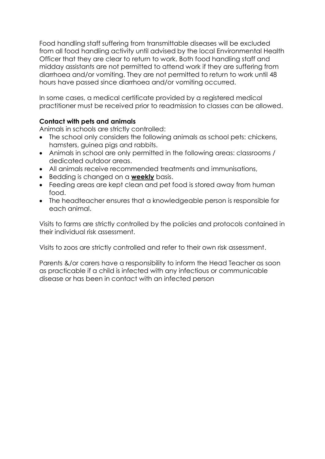Food handling staff suffering from transmittable diseases will be excluded from all food handling activity until advised by the local Environmental Health Officer that they are clear to return to work. Both food handling staff and midday assistants are not permitted to attend work if they are suffering from diarrhoea and/or vomiting. They are not permitted to return to work until 48 hours have passed since diarrhoea and/or vomiting occurred.

In some cases, a medical certificate provided by a registered medical practitioner must be received prior to readmission to classes can be allowed.

#### **Contact with pets and animals**

Animals in schools are strictly controlled:

- The school only considers the following animals as school pets: chickens, hamsters, guinea pigs and rabbits.
- Animals in school are only permitted in the following areas: classrooms / dedicated outdoor areas.
- All animals receive recommended treatments and immunisations,
- Bedding is changed on a **weekly** basis.
- Feeding areas are kept clean and pet food is stored away from human food.
- The headteacher ensures that a knowledgeable person is responsible for each animal.

Visits to farms are strictly controlled by the policies and protocols contained in their individual risk assessment.

Visits to zoos are strictly controlled and refer to their own risk assessment.

Parents &/or carers have a responsibility to inform the Head Teacher as soon as practicable if a child is infected with any infectious or communicable disease or has been in contact with an infected person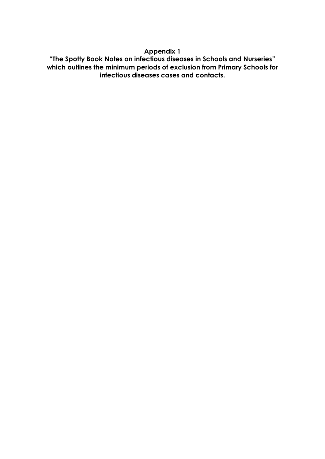#### **Appendix 1**

**"The Spotty Book Notes on infectious diseases in Schools and Nurseries" which outlines the minimum periods of exclusion from Primary Schools for infectious diseases cases and contacts.**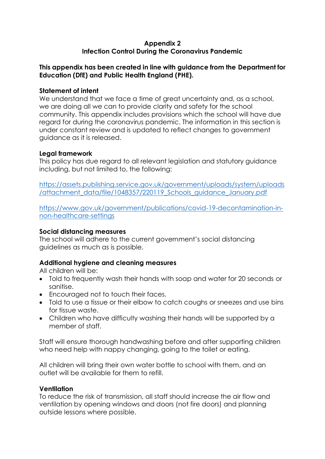#### **Appendix 2 Infection Control During the Coronavirus Pandemic**

#### **This appendix has been created in line with guidance from the Department for Education (DfE) and Public Health England (PHE).**

#### **Statement of intent**

We understand that we face a time of great uncertainty and, as a school, we are doing all we can to provide clarity and safety for the school community. This appendix includes provisions which the school will have due regard for during the coronavirus pandemic. The information in this section is under constant review and is updated to reflect changes to government guidance as it is released.

#### **Legal framework**

This policy has due regard to all relevant legislation and statutory guidance including, but not limited to, the following:

[https://assets.publishing.service.gov.uk/government/uploads/system/uploads](https://assets.publishing.service.gov.uk/government/uploads/system/uploads/attachment_data/file/1048357/220119_Schools_guidance_January.pdf) [/attachment\\_data/file/1048357/220119\\_Schools\\_guidance\\_January.pdf](https://assets.publishing.service.gov.uk/government/uploads/system/uploads/attachment_data/file/1048357/220119_Schools_guidance_January.pdf)

[https://www.gov.uk/government/publications/covid-19-decontamination-in](https://www.gov.uk/government/publications/covid-19-decontamination-in-non-healthcare-settings)[non-healthcare-settings](https://www.gov.uk/government/publications/covid-19-decontamination-in-non-healthcare-settings)

#### **Social distancing measures**

The school will adhere to the current government's social distancing guidelines as much as is possible.

#### **Additional hygiene and cleaning measures**

All children will be:

- Told to frequently wash their hands with soap and water for 20 seconds or sanitise.
- Encouraged not to touch their faces.
- Told to use a tissue or their elbow to catch coughs or sneezes and use bins for tissue waste.
- Children who have difficulty washing their hands will be supported by a member of staff.

Staff will ensure thorough handwashing before and after supporting children who need help with nappy changing, going to the toilet or eating.

All children will bring their own water bottle to school with them, and an outlet will be available for them to refill.

#### **Ventilation**

To reduce the risk of transmission, all staff should increase the air flow and ventilation by opening windows and doors (not fire doors) and planning outside lessons where possible.